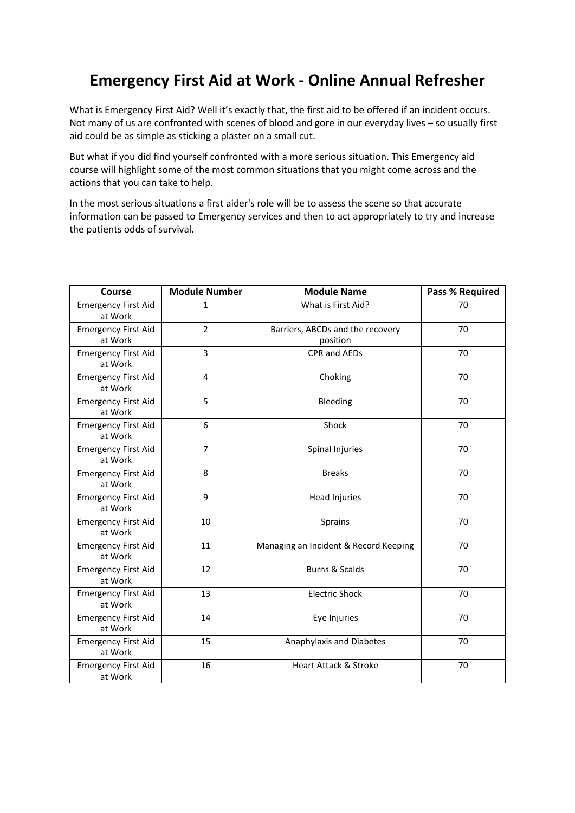## **Emergency First Aid at Work - Online Annual Refresher**

What is Emergency First Aid? Well it's exactly that, the first aid to be offered if an incident occurs. Not many of us are confronted with scenes of blood and gore in our everyday lives – so usually first aid could be as simple as sticking a plaster on a small cut.

But what if you did find yourself confronted with a more serious situation. This Emergency aid course will highlight some of the most common situations that you might come across and the actions that you can take to help.

In the most serious situations a first aider's role will be to assess the scene so that accurate information can be passed to Emergency services and then to act appropriately to try and increase the patients odds of survival.

| Course                                | <b>Module Number</b> | <b>Module Name</b>                           | <b>Pass % Required</b> |
|---------------------------------------|----------------------|----------------------------------------------|------------------------|
| <b>Emergency First Aid</b><br>at Work | 1                    | What is First Aid?                           | 70                     |
| <b>Emergency First Aid</b><br>at Work | $\overline{2}$       | Barriers, ABCDs and the recovery<br>position | 70                     |
| <b>Emergency First Aid</b><br>at Work | 3                    | CPR and AEDs                                 | 70                     |
| <b>Emergency First Aid</b><br>at Work | 4                    | Choking                                      | 70                     |
| <b>Emergency First Aid</b><br>at Work | 5                    | Bleeding                                     | 70                     |
| <b>Emergency First Aid</b><br>at Work | 6                    | Shock                                        | 70                     |
| <b>Emergency First Aid</b><br>at Work | $\overline{7}$       | Spinal Injuries                              | 70                     |
| <b>Emergency First Aid</b><br>at Work | 8                    | <b>Breaks</b>                                | 70                     |
| <b>Emergency First Aid</b><br>at Work | 9                    | Head Injuries                                | 70                     |
| <b>Emergency First Aid</b><br>at Work | 10                   | Sprains                                      | 70                     |
| <b>Emergency First Aid</b><br>at Work | 11                   | Managing an Incident & Record Keeping        | 70                     |
| <b>Emergency First Aid</b><br>at Work | 12                   | <b>Burns &amp; Scalds</b>                    | 70                     |
| <b>Emergency First Aid</b><br>at Work | 13                   | <b>Electric Shock</b>                        | 70                     |
| <b>Emergency First Aid</b><br>at Work | 14                   | Eye Injuries                                 | 70                     |
| <b>Emergency First Aid</b><br>at Work | 15                   | Anaphylaxis and Diabetes                     | 70                     |
| <b>Emergency First Aid</b><br>at Work | 16                   | <b>Heart Attack &amp; Stroke</b>             | 70                     |